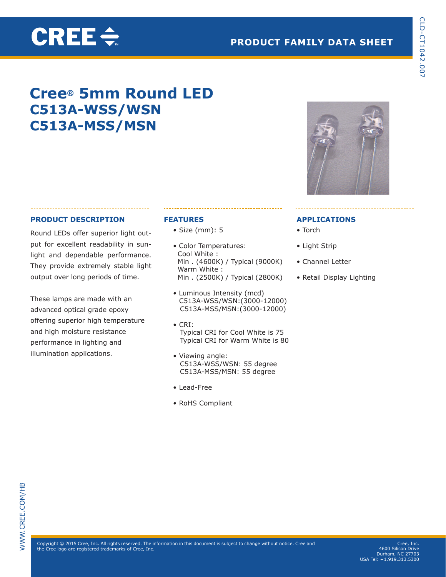# **PRODUCT FAMILY DATA SHEET**

# **Cree® 5mm Round LED C513A-WSS/WSN C513A-MSS/MSN**

### **PRODUCT DESCRIPTION**

**CREE** $\Leftarrow$ 

Round LEDs offer superior light output for excellent readability in sunlight and dependable performance. They provide extremely stable light output over long periods of time.

These lamps are made with an advanced optical grade epoxy offering superior high temperature and high moisture resistance performance in lighting and illumination applications.

### **FEATURES**

- Size (mm): 5
- Color Temperatures: Cool White : Min . (4600K) / Typical (9000K) Warm White : Min . (2500K) / Typical (2800K)
- Luminous Intensity (mcd) C513A-WSS/WSN:(3000-12000) C513A-MSS/MSN:(3000-12000)
- CRI: Typical CRI for Cool White is 75 Typical CRI for Warm White is 80
- Viewing angle: C513A-WSS/WSN: 55 degree C513A-MSS/MSN: 55 degree
- Lead-Free
- RoHS Compliant



### **APPLICATIONS**

- Torch
- Light Strip
- Channel Letter
- Retail Display Lighting

 $\mathsf{Copyright} \textcircled{\small{}}$  2015 Cree, Inc. All rights reserved. The information in this document is subject to change without notice. Cree and the Cree logo are registered trademarks of Cree, Inc.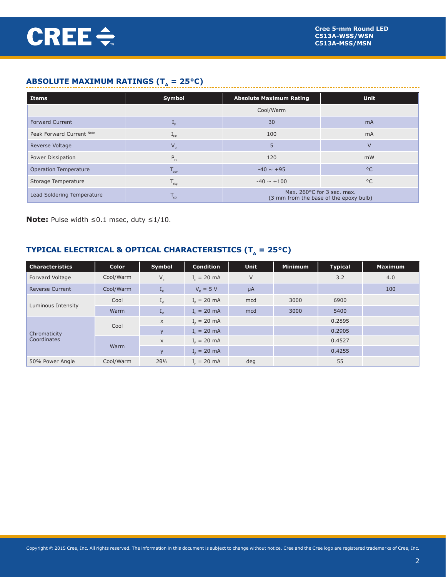# **ABSOLUTE MAXIMUM RATINGS (T<sub>A</sub> = 25°C)**

| Items                      | Symbol                      | <b>Absolute Maximum Rating</b>                                       | <b>Unit</b>    |
|----------------------------|-----------------------------|----------------------------------------------------------------------|----------------|
|                            |                             | Cool/Warm                                                            |                |
| <b>Forward Current</b>     | ⊥⊧                          | 30                                                                   | m <sub>A</sub> |
| Peak Forward Current Note  | $L_{FP}$                    | 100                                                                  | m <sub>A</sub> |
| Reverse Voltage            | $V_R$                       | 5                                                                    | $\vee$         |
| Power Dissipation          | $P_{D}$                     | 120                                                                  | mW             |
| Operation Temperature      | $T_{\text{opr}}$            | $-40 \sim +95$                                                       | $^{\circ}$     |
| Storage Temperature        | $T_{\text{stg}}$            | $-40 \sim +100$                                                      | $^{\circ}$ C   |
| Lead Soldering Temperature | $\mathsf{I}_{\mathsf{sol}}$ | Max. 260°C for 3 sec. max.<br>(3 mm from the base of the epoxy bulb) |                |

**Note:** Pulse width ≤0.1 msec, duty ≤1/10.

# **TYPICAL ELECTRICAL & OPTICAL CHARACTERISTICS (T<sub>A</sub> = 25°C)**

| <b>Characteristics</b> | Color     | Symbol               | <b>Condition</b> | <b>Unit</b> | <b>Minimum</b> | <b>Typical</b> | <b>Maximum</b> |
|------------------------|-----------|----------------------|------------------|-------------|----------------|----------------|----------------|
| Forward Voltage        | Cool/Warm | $V_F$                | $I_{F} = 20$ mA  | V           |                | 3.2            | 4.0            |
| <b>Reverse Current</b> | Cool/Warm | $I_R$                | $V_p = 5 V$      | $\mu$ A     |                |                | 100            |
|                        | Cool      | $I_{\vee}$           | $I_c = 20$ mA    | mcd         | 3000           | 6900           |                |
| Luminous Intensity     | Warm      | $I_V$                | $I_F = 20$ mA    | mcd         | 3000           | 5400           |                |
|                        | Cool      | $\times$             | $I_c = 20$ mA    |             |                | 0.2895         |                |
| Chromaticity           |           | $\mathsf{V}$         | $I_{F} = 20$ mA  |             |                | 0.2905         |                |
| Coordinates            |           | $\times$             | $I_c = 20$ mA    |             |                | 0.4527         |                |
|                        | Warm      | $\mathsf{V}$         | $I_F = 20$ mA    |             |                | 0.4255         |                |
| 50% Power Angle        | Cool/Warm | $2\theta\frac{1}{2}$ | $Ir = 20 mA$     | deg         |                | 55             |                |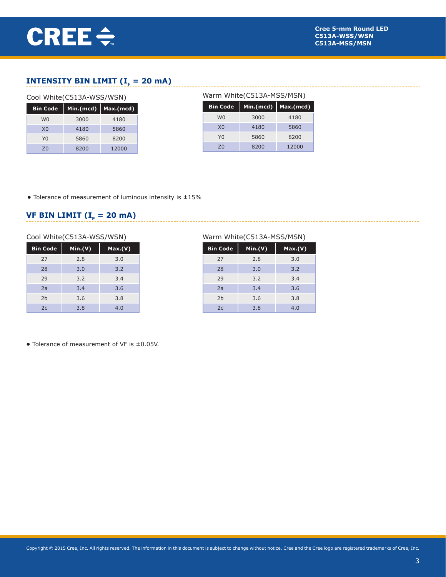## **INTENSITY BIN LIMIT (** $I<sub>F</sub> = 20$  **mA)**

#### Cool White(C513A-WSS/WSN)

| <b>Bin Code</b> | Min.(mcd) | Max.(mcd) |
|-----------------|-----------|-----------|
| W <sub>0</sub>  | 3000      | 4180      |
| X <sub>0</sub>  | 4180      | 5860      |
| YQ              | 5860      | 8200      |
| 70              | 8200      | 12000     |

### Warm White(C513A-MSS/MSN)

---------------------------

| <b>Bin Code</b> | Min.(mcd) | $ $ Max.(mcd) |
|-----------------|-----------|---------------|
| W <sub>0</sub>  | 3000      | 4180          |
| X <sub>0</sub>  | 4180      | 5860          |
| Y <sub>0</sub>  | 5860      | 8200          |
| 70              | 8200      | 12000         |

**•** Tolerance of measurement of luminous intensity is ±15%

# **VF BIN LIMIT (** $I<sub>F</sub> = 20$  **mA)**

#### Cool White(C513A-WSS/WSN)

| <b>Bin Code</b> | Min.(V) | Max.(V) |
|-----------------|---------|---------|
| 27              | 2.8     | 3.0     |
| 28              | 3.0     | 3.2     |
| 29              | 3.2     | 3.4     |
| 2a              | 3.4     | 3.6     |
| 2 <sub>b</sub>  | 3.6     | 3.8     |
| 2c              | 3.8     | 4.0     |

#### Warm White(C513A-MSS/MSN)

| <b>Bin Code</b> | Min.(V) | Max.(V) |
|-----------------|---------|---------|
| 27              | 2.8     | 3.0     |
| 28              | 3.0     | 3.2     |
| 29              | 3.2     | 3.4     |
| 2a              | 3.4     | 3.6     |
| 2 <sub>b</sub>  | 3.6     | 3.8     |
| 2c              | 3.8     | 4.0     |

**•** Tolerance of measurement of VF is ±0.05V.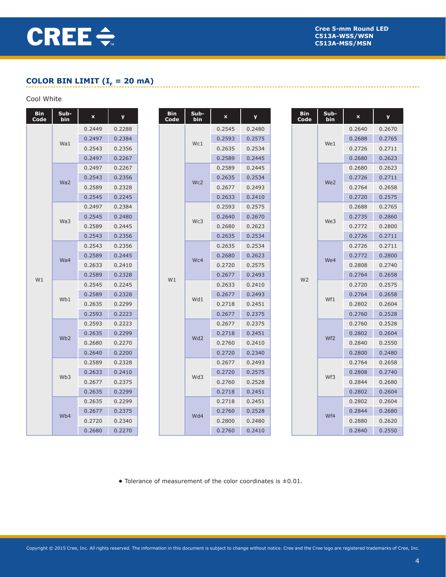# **COLOR BIN LIMIT (** $I<sub>F</sub> = 20$  **mA)**

# Cool White

| <b>Bin</b><br>Code | Sub-<br>bin     | $\mathbf x$ | <b>y</b> |  | <b>Bin</b><br>Code | Sub-<br>bin     | $\mathbf x$ | y      | <b>Bin</b><br>Code |     | Sub-<br>bin     | $\mathbf x$ | <b>y</b> |
|--------------------|-----------------|-------------|----------|--|--------------------|-----------------|-------------|--------|--------------------|-----|-----------------|-------------|----------|
|                    |                 | 0.2449      | 0.2288   |  |                    |                 | 0.2545      | 0.2480 |                    |     |                 | 0.2640      | 0.2670   |
|                    |                 | 0.2497      | 0.2384   |  |                    |                 | 0.2593      | 0.2575 |                    |     |                 | 0.2688      | 0.2765   |
|                    | Wa1             | 0.2543      | 0.2356   |  |                    | Wc1             | 0.2635      | 0.2534 |                    |     | We1             | 0.2726      | 0.2711   |
|                    |                 | 0.2497      | 0.2267   |  |                    |                 | 0.2589      | 0.2445 |                    |     |                 | 0.2680      | 0.2623   |
|                    |                 | 0.2497      | 0.2267   |  |                    |                 | 0.2589      | 0.2445 |                    |     |                 | 0.2680      | 0.2623   |
|                    |                 | 0.2543      | 0.2356   |  |                    |                 | 0.2635      | 0.2534 |                    |     |                 | 0.2726      | 0.2711   |
|                    | Wa <sub>2</sub> | 0.2589      | 0.2328   |  |                    | Wc2             | 0.2677      | 0.2493 |                    |     | We <sub>2</sub> | 0.2764      | 0.2658   |
|                    |                 | 0.2545      | 0.2245   |  |                    | 0.2633          | 0.2410      |        |                    |     | 0.2720          | 0.2575      |          |
|                    |                 | 0.2497      | 0.2384   |  |                    |                 | 0.2593      | 0.2575 |                    |     |                 | 0.2688      | 0.2765   |
|                    |                 | 0.2545      | 0.2480   |  |                    |                 | 0.2640      | 0.2670 |                    |     |                 | 0.2735      | 0.2860   |
|                    | Wa3             | 0.2589      | 0.2445   |  |                    | Wc3             | 0.2680      | 0.2623 |                    |     | We3             | 0.2772      | 0.2800   |
|                    |                 | 0.2543      | 0.2356   |  |                    |                 | 0.2635      | 0.2534 |                    |     |                 | 0.2726      | 0.2711   |
|                    |                 | 0.2543      | 0.2356   |  |                    |                 | 0.2635      | 0.2534 |                    |     |                 | 0.2726      | 0.2711   |
|                    |                 | 0.2589      | 0.2445   |  | W1                 | Wc4             | 0.2680      | 0.2623 |                    |     | We4             | 0.2772      | 0.2800   |
|                    | Wa4             | 0.2633      | 0.2410   |  |                    |                 | 0.2720      | 0.2575 |                    |     |                 | 0.2808      | 0.2740   |
|                    |                 | 0.2589      | 0.2328   |  |                    |                 | 0.2677      | 0.2493 | W <sub>2</sub>     |     |                 | 0.2764      | 0.2658   |
| W1                 |                 | 0.2545      | 0.2245   |  |                    | Wd1             | 0.2633      | 0.2410 |                    |     |                 | 0.2720      | 0.2575   |
|                    | Wb1             | 0.2589      | 0.2328   |  |                    |                 | 0.2677      | 0.2493 |                    |     | Wf1             | 0.2764      | 0.2658   |
|                    |                 | 0.2635      | 0.2299   |  |                    |                 | 0.2718      | 0.2451 |                    |     |                 | 0.2802      | 0.2604   |
|                    |                 | 0.2593      | 0.2223   |  |                    |                 | 0.2677      | 0.2375 |                    |     |                 | 0.2760      | 0.2528   |
|                    |                 | 0.2593      | 0.2223   |  |                    |                 | 0.2677      | 0.2375 |                    |     |                 | 0.2760      | 0.2528   |
|                    | Wb <sub>2</sub> | 0.2635      | 0.2299   |  |                    | Wd <sub>2</sub> | 0.2718      | 0.2451 |                    |     | Wf <sub>2</sub> | 0.2802      | 0.2604   |
|                    |                 | 0.2680      | 0.2270   |  |                    |                 | 0.2760      | 0.2410 |                    |     |                 | 0.2840      | 0.2550   |
|                    |                 | 0.2640      | 0.2200   |  |                    |                 | 0.2720      | 0.2340 |                    |     |                 | 0.2800      | 0.2480   |
|                    |                 | 0.2589      | 0.2328   |  |                    |                 | 0.2677      | 0.2493 |                    |     |                 | 0.2764      | 0.2658   |
|                    | Wb <sub>3</sub> | 0.2633      | 0.2410   |  |                    | Wd3             | 0.2720      | 0.2575 |                    |     | Wf3             | 0.2808      | 0.2740   |
|                    |                 | 0.2677      | 0.2375   |  |                    |                 | 0.2760      | 0.2528 |                    |     |                 | 0.2844      | 0.2680   |
|                    |                 | 0.2635      | 0.2299   |  |                    |                 | 0.2718      | 0.2451 |                    |     |                 | 0.2802      | 0.2604   |
|                    |                 | 0.2635      | 0.2299   |  |                    |                 | 0.2718      | 0.2451 |                    |     |                 | 0.2802      | 0.2604   |
|                    | Wb4             | 0.2677      | 0.2375   |  |                    | Wd4             | 0.2760      | 0.2528 |                    |     |                 | 0.2844      | 0.2680   |
|                    |                 | 0.2720      | 0.2340   |  |                    |                 | 0.2800      | 0.2480 |                    | Wf4 |                 | 0.2880      | 0.2620   |
|                    |                 | 0.2680      | 0.2270   |  |                    |                 | 0.2760      | 0.2410 |                    |     |                 | 0.2840      | 0.2550   |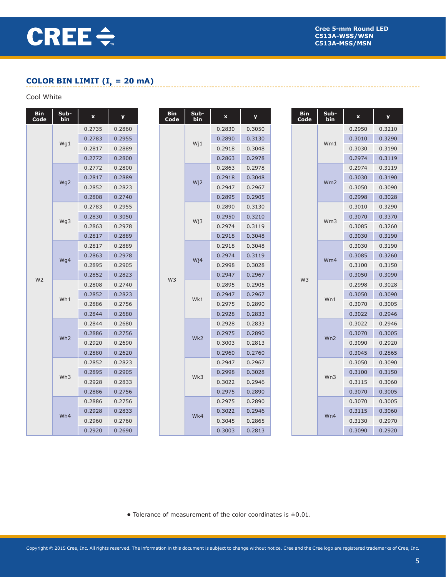-----------------------

# **COLOR BIN LIMIT (** $I<sub>F</sub> = 20$  **mA)**

### Cool White

| <b>Bin</b><br>Code | Sub-<br>bin     | $\pmb{\mathsf{x}}$ | y      |  | <b>Bin</b><br>Code | Sub-<br>bin      | $\pmb{\mathsf{x}}$ | y      |  | <b>Bin</b><br>Code | Sub-<br>bin     | $\pmb{\mathsf{x}}$ | y      |
|--------------------|-----------------|--------------------|--------|--|--------------------|------------------|--------------------|--------|--|--------------------|-----------------|--------------------|--------|
|                    |                 | 0.2735             | 0.2860 |  |                    |                  | 0.2830             | 0.3050 |  |                    |                 | 0.2950             | 0.3210 |
|                    |                 | 0.2783             | 0.2955 |  |                    |                  | 0.2890             | 0.3130 |  |                    | Wm1             | 0.3010             | 0.3290 |
|                    | Wg1             | 0.2817             | 0.2889 |  |                    | W <sub>j1</sub>  | 0.2918             | 0.3048 |  |                    |                 | 0.3030             | 0.3190 |
|                    |                 | 0.2772             | 0.2800 |  |                    |                  | 0.2863             | 0.2978 |  |                    |                 | 0.2974             | 0.3119 |
|                    |                 | 0.2772             | 0.2800 |  |                    |                  | 0.2863             | 0.2978 |  |                    |                 | 0.2974             | 0.3119 |
|                    | Wg2             | 0.2817             | 0.2889 |  |                    | W <sub>i</sub> 2 | 0.2918             | 0.3048 |  |                    | Wm2             | 0.3030             | 0.3190 |
|                    |                 | 0.2852             | 0.2823 |  |                    |                  | 0.2947             | 0.2967 |  |                    |                 | 0.3050             | 0.3090 |
|                    |                 | 0.2808             | 0.2740 |  |                    |                  | 0.2895             | 0.2905 |  |                    |                 | 0.2998             | 0.3028 |
|                    |                 | 0.2783             | 0.2955 |  |                    |                  | 0.2890             | 0.3130 |  |                    |                 | 0.3010             | 0.3290 |
|                    | Wg3             | 0.2830             | 0.3050 |  |                    | W <sub>j</sub> 3 | 0.2950             | 0.3210 |  |                    | Wm <sub>3</sub> | 0.3070             | 0.3370 |
|                    |                 | 0.2863             | 0.2978 |  |                    |                  | 0.2974             | 0.3119 |  |                    |                 | 0.3085             | 0.3260 |
|                    |                 | 0.2817             | 0.2889 |  |                    |                  | 0.2918             | 0.3048 |  |                    |                 | 0.3030             | 0.3190 |
|                    |                 | 0.2817             | 0.2889 |  |                    |                  | 0.2918             | 0.3048 |  |                    | Wm4             | 0.3030             | 0.3190 |
|                    | Wg4             | 0.2863             | 0.2978 |  | W <sub>3</sub>     | W <sub>i</sub> 4 | 0.2974             | 0.3119 |  | W <sub>3</sub>     |                 | 0.3085             | 0.3260 |
|                    |                 | 0.2895             | 0.2905 |  |                    |                  | 0.2998             | 0.3028 |  |                    |                 | 0.3100             | 0.3150 |
| W <sub>2</sub>     |                 | 0.2852             | 0.2823 |  |                    |                  | 0.2947             | 0.2967 |  |                    |                 | 0.3050             | 0.3090 |
|                    |                 | 0.2808             | 0.2740 |  |                    | Wk1              | 0.2895             | 0.2905 |  |                    | Wn1             | 0.2998             | 0.3028 |
|                    | Wh1             | 0.2852             | 0.2823 |  |                    |                  | 0.2947             | 0.2967 |  |                    |                 | 0.3050             | 0.3090 |
|                    |                 | 0.2886             | 0.2756 |  |                    |                  | 0.2975             | 0.2890 |  |                    |                 | 0.3070             | 0.3005 |
|                    |                 | 0.2844             | 0.2680 |  |                    |                  | 0.2928             | 0.2833 |  |                    |                 | 0.3022             | 0.2946 |
|                    |                 | 0.2844             | 0.2680 |  |                    |                  | 0.2928             | 0.2833 |  |                    |                 | 0.3022             | 0.2946 |
|                    | Wh <sub>2</sub> | 0.2886             | 0.2756 |  |                    | Wk <sub>2</sub>  | 0.2975             | 0.2890 |  |                    | Wn2             | 0.3070             | 0.3005 |
|                    |                 | 0.2920             | 0.2690 |  |                    |                  | 0.3003             | 0.2813 |  |                    |                 | 0.3090             | 0.2920 |
|                    |                 | 0.2880             | 0.2620 |  |                    |                  | 0.2960             | 0.2760 |  |                    |                 | 0.3045             | 0.2865 |
|                    |                 | 0.2852             | 0.2823 |  |                    |                  | 0.2947             | 0.2967 |  |                    |                 | 0.3050             | 0.3090 |
|                    | Wh <sub>3</sub> | 0.2895             | 0.2905 |  |                    | Wk3              | 0.2998             | 0.3028 |  |                    | Wn3             | 0.3100             | 0.3150 |
|                    |                 | 0.2928             | 0.2833 |  |                    |                  | 0.3022             | 0.2946 |  |                    |                 | 0.3115             | 0.3060 |
|                    |                 | 0.2886             | 0.2756 |  |                    |                  | 0.2975             | 0.2890 |  |                    |                 | 0.3070             | 0.3005 |
|                    |                 | 0.2886             | 0.2756 |  |                    |                  | 0.2975             | 0.2890 |  |                    |                 | 0.3070             | 0.3005 |
|                    | Wh4             | 0.2928             | 0.2833 |  |                    | Wk4              | 0.3022             | 0.2946 |  |                    | Wn4             | 0.3115             | 0.3060 |
|                    |                 | 0.2960             | 0.2760 |  |                    |                  | 0.3045             | 0.2865 |  |                    |                 | 0.3130             | 0.2970 |
|                    |                 | 0.2920             | 0.2690 |  |                    |                  | 0.3003             | 0.2813 |  |                    |                 | 0.3090             | 0.2920 |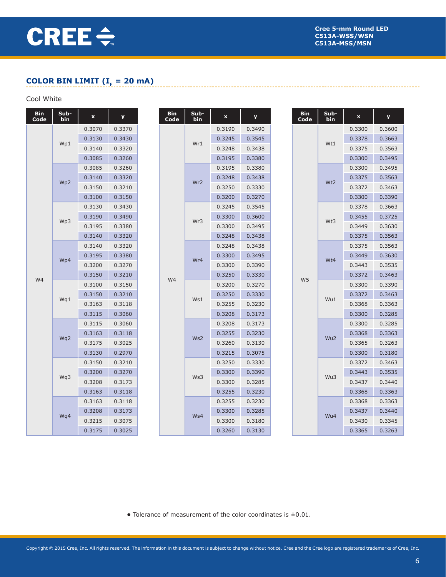----------------------

# **COLOR BIN LIMIT (** $I<sub>F</sub> = 20$  **mA)**

#### Cool White **Cool** White **Cool** White **Cool** White **Cool** White **Cool** White **Cool** White **Cool** 2014 Cool White

| Bin<br>Code | Sub-<br>bin | $\pmb{\mathsf{x}}$ | y      |  | Bin<br>Code | Sub-<br>bin     | $\pmb{\mathsf{x}}$ | y      |  | <b>Bin</b><br>Code | Sub-<br>bin     | $\pmb{\mathsf{x}}$ | y      |
|-------------|-------------|--------------------|--------|--|-------------|-----------------|--------------------|--------|--|--------------------|-----------------|--------------------|--------|
|             |             | 0.3070             | 0.3370 |  |             |                 | 0.3190             | 0.3490 |  |                    |                 | 0.3300             | 0.3600 |
|             | Wp1         | 0.3130             | 0.3430 |  |             | Wr1             | 0.3245             | 0.3545 |  |                    | Wt1             | 0.3378             | 0.3663 |
|             |             | 0.3140             | 0.3320 |  |             |                 | 0.3248             | 0.3438 |  |                    |                 | 0.3375             | 0.3563 |
|             |             | 0.3085             | 0.3260 |  |             |                 | 0.3195             | 0.3380 |  |                    |                 | 0.3300             | 0.3495 |
|             |             | 0.3085             | 0.3260 |  |             |                 | 0.3195             | 0.3380 |  |                    |                 | 0.3300             | 0.3495 |
|             | Wp2         | 0.3140             | 0.3320 |  |             | Wr <sub>2</sub> | 0.3248             | 0.3438 |  |                    | Wt2             | 0.3375             | 0.3563 |
|             |             | 0.3150             | 0.3210 |  |             |                 | 0.3250             | 0.3330 |  |                    |                 | 0.3372             | 0.3463 |
|             |             | 0.3100             | 0.3150 |  |             |                 | 0.3200             | 0.3270 |  |                    |                 | 0.3300             | 0.3390 |
|             |             | 0.3130             | 0.3430 |  |             |                 | 0.3245             | 0.3545 |  |                    |                 | 0.3378             | 0.3663 |
|             | Wp3         | 0.3190             | 0.3490 |  |             | Wr3             | 0.3300             | 0.3600 |  |                    | Wt3             | 0.3455             | 0.3725 |
|             |             | 0.3195             | 0.3380 |  |             |                 | 0.3300             | 0.3495 |  |                    |                 | 0.3449             | 0.3630 |
|             |             | 0.3140             | 0.3320 |  |             |                 | 0.3248             | 0.3438 |  |                    |                 | 0.3375             | 0.3563 |
|             |             | 0.3140             | 0.3320 |  |             |                 | 0.3248             | 0.3438 |  |                    |                 | 0.3375             | 0.3563 |
|             | Wp4         | 0.3195             | 0.3380 |  |             | Wr4             | 0.3300             | 0.3495 |  |                    | Wt4             | 0.3449             | 0.3630 |
|             |             | 0.3200             | 0.3270 |  | W4          |                 | 0.3300             | 0.3390 |  | W <sub>5</sub>     |                 | 0.3443             | 0.3535 |
| W4          |             | 0.3150             | 0.3210 |  |             |                 | 0.3250             | 0.3330 |  |                    |                 | 0.3372             | 0.3463 |
|             |             | 0.3100             | 0.3150 |  |             | Ws1             | 0.3200             | 0.3270 |  |                    | Wu1             | 0.3300             | 0.3390 |
|             | Wq1         | 0.3150             | 0.3210 |  |             |                 | 0.3250             | 0.3330 |  |                    |                 | 0.3372             | 0.3463 |
|             |             | 0.3163             | 0.3118 |  |             |                 | 0.3255             | 0.3230 |  |                    |                 | 0.3368             | 0.3363 |
|             |             | 0.3115             | 0.3060 |  |             |                 | 0.3208             | 0.3173 |  |                    |                 | 0.3300             | 0.3285 |
|             |             | 0.3115             | 0.3060 |  |             |                 | 0.3208             | 0.3173 |  |                    |                 | 0.3300             | 0.3285 |
|             | Wq2         | 0.3163             | 0.3118 |  |             | Ws2             | 0.3255             | 0.3230 |  |                    | Wu <sub>2</sub> | 0.3368             | 0.3363 |
|             |             | 0.3175             | 0.3025 |  |             |                 | 0.3260             | 0.3130 |  |                    |                 | 0.3365             | 0.3263 |
|             |             | 0.3130             | 0.2970 |  |             |                 | 0.3215             | 0.3075 |  |                    |                 | 0.3300             | 0.3180 |
|             |             | 0.3150             | 0.3210 |  |             |                 | 0.3250             | 0.3330 |  |                    |                 | 0.3372             | 0.3463 |
|             | Wq3         | 0.3200             | 0.3270 |  |             | Ws3             | 0.3300             | 0.3390 |  |                    | Wu3             | 0.3443             | 0.3535 |
|             |             | 0.3208             | 0.3173 |  |             |                 | 0.3300             | 0.3285 |  |                    |                 | 0.3437             | 0.3440 |
|             |             | 0.3163             | 0.3118 |  |             |                 | 0.3255             | 0.3230 |  |                    |                 | 0.3368             | 0.3363 |
|             |             | 0.3163             | 0.3118 |  |             |                 | 0.3255             | 0.3230 |  |                    |                 | 0.3368             | 0.3363 |
|             |             | 0.3208             | 0.3173 |  |             | Ws4             | 0.3300             | 0.3285 |  |                    | Wu4             | 0.3437             | 0.3440 |
|             | Wq4         | 0.3215             | 0.3075 |  |             |                 | 0.3300             | 0.3180 |  |                    |                 | 0.3430             | 0.3345 |
|             |             | 0.3175             | 0.3025 |  |             |                 | 0.3260             | 0.3130 |  |                    |                 | 0.3365             | 0.3263 |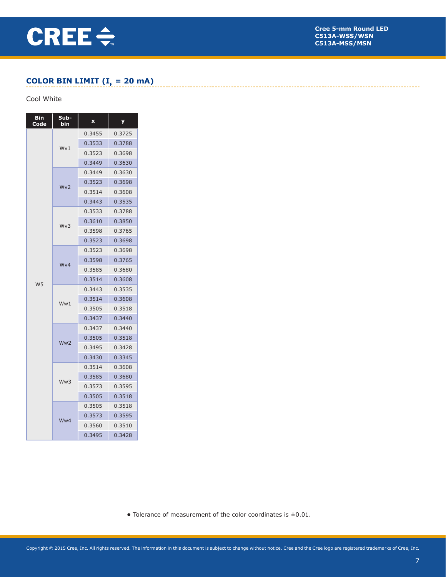

--------------------------------

## **COLOR BIN LIMIT (** $I<sub>F</sub> = 20$  **mA)**

#### Cool White

| <b>Bin</b><br>Code | Sub-<br>bin     | $\mathbf x$ | y      |
|--------------------|-----------------|-------------|--------|
|                    |                 | 0.3455      | 0.3725 |
|                    | Wv1             | 0.3533      | 0.3788 |
|                    | 0.3523          |             | 0.3698 |
|                    |                 | 0.3449      | 0.3630 |
|                    |                 | 0.3449      | 0.3630 |
|                    | Wv2             | 0.3523      | 0.3698 |
|                    |                 | 0.3514      | 0.3608 |
|                    |                 | 0.3443      | 0.3535 |
|                    |                 | 0.3533      | 0.3788 |
|                    | Wv3             | 0.3610      | 0.3850 |
|                    |                 | 0.3598      | 0.3765 |
|                    |                 | 0.3523      | 0.3698 |
|                    |                 | 0.3523      | 0.3698 |
|                    | Wy4             | 0.3765      |        |
|                    |                 | 0.3585      | 0.3680 |
| W <sub>5</sub>     |                 | 0.3514      | 0.3608 |
|                    |                 | 0.3443      | 0.3535 |
|                    | Ww1             | 0.3514      | 0.3608 |
|                    |                 | 0.3505      | 0.3518 |
|                    |                 | 0.3437      | 0.3440 |
|                    |                 | 0.3437      | 0.3440 |
|                    | Ww <sub>2</sub> | 0.3505      | 0.3518 |
|                    |                 | 0.3495      | 0.3428 |
|                    |                 | 0.3430      | 0.3345 |
|                    |                 | 0.3514      | 0.3608 |
|                    | Ww3             | 0.3585      | 0.3680 |
|                    |                 | 0.3573      | 0.3595 |
|                    |                 | 0.3505      | 0.3518 |
|                    |                 | 0.3505      | 0.3518 |
|                    | Ww4             | 0.3573      | 0.3595 |
|                    |                 | 0.3560      | 0.3510 |
|                    |                 | 0.3495      | 0.3428 |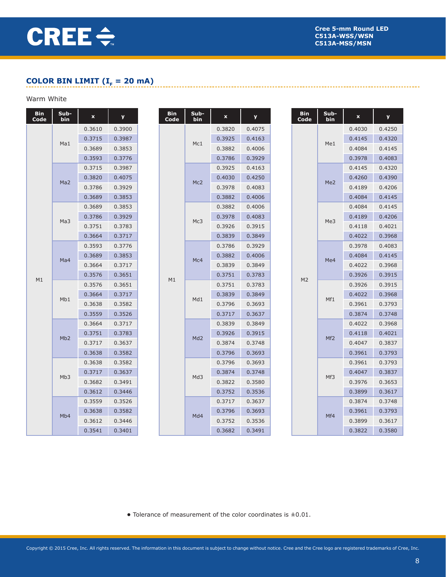# **COLOR BIN LIMIT (** $I<sub>F</sub> = 20$  **mA)**

# Warm White

| <b>Bin</b><br>Code | Sub-<br>bin     | $\mathbf x$ | y      |  | <b>Bin</b><br>Code | Sub-<br>bin     | $\pmb{\mathsf{x}}$ | y      |  | <b>Bin</b><br>Code | Sub-<br>bin     | $\pmb{\mathsf{x}}$ | y      |
|--------------------|-----------------|-------------|--------|--|--------------------|-----------------|--------------------|--------|--|--------------------|-----------------|--------------------|--------|
|                    |                 | 0.3610      | 0.3900 |  |                    |                 | 0.3820             | 0.4075 |  |                    |                 | 0.4030             | 0.4250 |
|                    | Ma1             | 0.3715      | 0.3987 |  |                    | Mc1             | 0.3925             | 0.4163 |  |                    | Me1             | 0.4145             | 0.4320 |
|                    |                 | 0.3689      | 0.3853 |  |                    |                 | 0.3882             | 0.4006 |  |                    |                 | 0.4084             | 0.4145 |
|                    |                 | 0.3593      | 0.3776 |  |                    |                 | 0.3786             | 0.3929 |  |                    |                 | 0.3978             | 0.4083 |
|                    |                 | 0.3715      | 0.3987 |  |                    |                 | 0.3925             | 0.4163 |  |                    |                 | 0.4145             | 0.4320 |
|                    | Ma2             | 0.3820      | 0.4075 |  |                    | Mc2             | 0.4030             | 0.4250 |  |                    | Me <sub>2</sub> | 0.4260             | 0.4390 |
|                    |                 | 0.3786      | 0.3929 |  |                    |                 | 0.3978             | 0.4083 |  |                    |                 | 0.4189             | 0.4206 |
|                    |                 | 0.3689      | 0.3853 |  |                    |                 | 0.3882             | 0.4006 |  |                    |                 | 0.4084             | 0.4145 |
|                    |                 | 0.3689      | 0.3853 |  |                    |                 | 0.3882             | 0.4006 |  |                    |                 | 0.4084             | 0.4145 |
|                    | Ma <sub>3</sub> | 0.3786      | 0.3929 |  |                    | Mc3             | 0.3978             | 0.4083 |  |                    | Me3             | 0.4189             | 0.4206 |
|                    |                 | 0.3751      | 0.3783 |  |                    |                 | 0.3926             | 0.3915 |  |                    |                 | 0.4118             | 0.4021 |
|                    |                 | 0.3664      | 0.3717 |  |                    |                 | 0.3839             | 0.3849 |  |                    |                 | 0.4022             | 0.3968 |
|                    |                 | 0.3593      | 0.3776 |  |                    |                 | 0.3786             | 0.3929 |  |                    |                 | 0.3978             | 0.4083 |
|                    | Ma4             | 0.3689      | 0.3853 |  |                    | Mc4             | 0.3882             | 0.4006 |  |                    | Me4             | 0.4084             | 0.4145 |
|                    |                 | 0.3664      | 0.3717 |  | M1                 |                 | 0.3839             | 0.3849 |  | M <sub>2</sub>     |                 | 0.4022             | 0.3968 |
| M1                 |                 | 0.3576      | 0.3651 |  |                    |                 | 0.3751             | 0.3783 |  |                    |                 | 0.3926             | 0.3915 |
|                    |                 | 0.3576      | 0.3651 |  |                    | Md1             | 0.3751             | 0.3783 |  |                    | Mf1             | 0.3926             | 0.3915 |
|                    | Mb1             | 0.3664      | 0.3717 |  |                    |                 | 0.3839             | 0.3849 |  |                    |                 | 0.4022             | 0.3968 |
|                    |                 | 0.3638      | 0.3582 |  |                    |                 | 0.3796             | 0.3693 |  |                    |                 | 0.3961             | 0.3793 |
|                    |                 | 0.3559      | 0.3526 |  |                    |                 | 0.3717             | 0.3637 |  |                    |                 | 0.3874             | 0.3748 |
|                    |                 | 0.3664      | 0.3717 |  |                    |                 | 0.3839             | 0.3849 |  |                    |                 | 0.4022             | 0.3968 |
|                    | Mb2             | 0.3751      | 0.3783 |  |                    | Md <sub>2</sub> | 0.3926             | 0.3915 |  |                    | Mf <sub>2</sub> | 0.4118             | 0.4021 |
|                    |                 | 0.3717      | 0.3637 |  |                    |                 | 0.3874             | 0.3748 |  |                    |                 | 0.4047             | 0.3837 |
|                    |                 | 0.3638      | 0.3582 |  |                    |                 | 0.3796             | 0.3693 |  |                    |                 | 0.3961             | 0.3793 |
|                    |                 | 0.3638      | 0.3582 |  |                    |                 | 0.3796             | 0.3693 |  |                    |                 | 0.3961             | 0.3793 |
|                    | Mb <sub>3</sub> | 0.3717      | 0.3637 |  |                    | Md3             | 0.3874             | 0.3748 |  |                    | Mf3             | 0.4047             | 0.3837 |
|                    |                 | 0.3682      | 0.3491 |  |                    |                 | 0.3822             | 0.3580 |  |                    |                 | 0.3976             | 0.3653 |
|                    |                 | 0.3612      | 0.3446 |  |                    |                 | 0.3752             | 0.3536 |  |                    |                 | 0.3899             | 0.3617 |
|                    |                 | 0.3559      | 0.3526 |  |                    |                 | 0.3717             | 0.3637 |  |                    |                 | 0.3874             | 0.3748 |
|                    |                 | 0.3638      | 0.3582 |  |                    | Md4             | 0.3796             | 0.3693 |  |                    | Mf4             | 0.3961             | 0.3793 |
|                    | Mb <sub>4</sub> | 0.3612      | 0.3446 |  |                    |                 | 0.3752             | 0.3536 |  |                    |                 | 0.3899             | 0.3617 |
|                    |                 | 0.3541      | 0.3401 |  |                    |                 | 0.3682             | 0.3491 |  |                    |                 | 0.3822             | 0.3580 |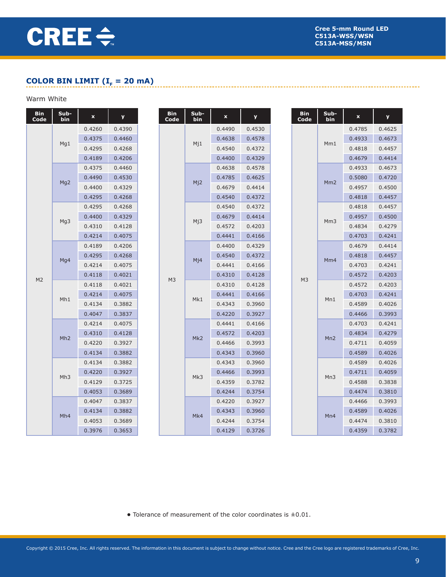---------------------

# **COLOR BIN LIMIT (** $I<sub>F</sub> = 20$  **mA)**

# Warm White

| Bin<br>Code    | Sub-<br>bin | $\pmb{\mathsf{x}}$ | y      |  | <b>Bin</b><br>Code | Sub-<br>bin      | $\pmb{\mathsf{x}}$ | У      |  | <b>Bin</b><br>Code | Sub-<br>bin | $\mathbf x$ | y      |
|----------------|-------------|--------------------|--------|--|--------------------|------------------|--------------------|--------|--|--------------------|-------------|-------------|--------|
|                |             | 0.4260             | 0.4390 |  |                    |                  | 0.4490             | 0.4530 |  |                    |             | 0.4785      | 0.4625 |
|                | Mg1         | 0.4375             | 0.4460 |  |                    | M <sub>j1</sub>  | 0.4638             | 0.4578 |  |                    | Mm1         | 0.4933      | 0.4673 |
|                |             | 0.4295             | 0.4268 |  |                    |                  | 0.4540             | 0.4372 |  |                    |             | 0.4818      | 0.4457 |
|                |             | 0.4189             | 0.4206 |  |                    |                  | 0.4400             | 0.4329 |  |                    |             | 0.4679      | 0.4414 |
|                |             | 0.4375             | 0.4460 |  |                    |                  | 0.4638             | 0.4578 |  |                    |             | 0.4933      | 0.4673 |
|                | Mg2         | 0.4490             | 0.4530 |  |                    | Mj2              | 0.4785             | 0.4625 |  |                    | Mm2         | 0.5080      | 0.4720 |
|                |             | 0.4400             | 0.4329 |  |                    |                  | 0.4679             | 0.4414 |  |                    |             | 0.4957      | 0.4500 |
|                |             | 0.4295             | 0.4268 |  |                    |                  | 0.4540             | 0.4372 |  |                    |             | 0.4818      | 0.4457 |
|                |             | 0.4295             | 0.4268 |  |                    |                  | 0.4540             | 0.4372 |  |                    |             | 0.4818      | 0.4457 |
|                | Mg3         | 0.4400             | 0.4329 |  |                    | M <sub>j</sub> 3 | 0.4679             | 0.4414 |  |                    | Mm3         | 0.4957      | 0.4500 |
|                |             | 0.4310             | 0.4128 |  |                    |                  | 0.4572             | 0.4203 |  |                    |             | 0.4834      | 0.4279 |
|                |             | 0.4214             | 0.4075 |  |                    |                  | 0.4441             | 0.4166 |  |                    |             | 0.4703      | 0.4241 |
|                |             | 0.4189             | 0.4206 |  |                    |                  | 0.4400             | 0.4329 |  |                    | Mm4         | 0.4679      | 0.4414 |
|                | Mg4         | 0.4295             | 0.4268 |  | M <sub>3</sub>     | M <sub>1</sub> 4 | 0.4540             | 0.4372 |  |                    |             | 0.4818      | 0.4457 |
|                |             | 0.4214             | 0.4075 |  |                    |                  | 0.4441             | 0.4166 |  | M <sub>3</sub>     |             | 0.4703      | 0.4241 |
| M <sub>2</sub> |             | 0.4118             | 0.4021 |  |                    |                  | 0.4310             | 0.4128 |  |                    |             | 0.4572      | 0.4203 |
|                |             | 0.4118             | 0.4021 |  |                    | Mk1              | 0.4310             | 0.4128 |  |                    | Mn1         | 0.4572      | 0.4203 |
|                | Mh1         | 0.4214             | 0.4075 |  |                    |                  | 0.4441             | 0.4166 |  |                    |             | 0.4703      | 0.4241 |
|                |             | 0.4134             | 0.3882 |  |                    |                  | 0.4343             | 0.3960 |  |                    |             | 0.4589      | 0.4026 |
|                |             | 0.4047             | 0.3837 |  |                    |                  | 0.4220             | 0.3927 |  |                    |             | 0.4466      | 0.3993 |
|                |             | 0.4214             | 0.4075 |  |                    |                  | 0.4441             | 0.4166 |  |                    |             | 0.4703      | 0.4241 |
|                | Mh2         | 0.4310             | 0.4128 |  |                    | Mk2              | 0.4572             | 0.4203 |  |                    | Mn2         | 0.4834      | 0.4279 |
|                |             | 0.4220             | 0.3927 |  |                    |                  | 0.4466             | 0.3993 |  |                    |             | 0.4711      | 0.4059 |
|                |             | 0.4134             | 0.3882 |  |                    |                  | 0.4343             | 0.3960 |  |                    |             | 0.4589      | 0.4026 |
|                |             | 0.4134             | 0.3882 |  |                    |                  | 0.4343             | 0.3960 |  |                    |             | 0.4589      | 0.4026 |
|                | Mh3         | 0.4220             | 0.3927 |  |                    | Mk3              | 0.4466             | 0.3993 |  |                    | Mn3         | 0.4711      | 0.4059 |
|                |             | 0.4129             | 0.3725 |  |                    |                  | 0.4359             | 0.3782 |  |                    |             | 0.4588      | 0.3838 |
|                |             | 0.4053             | 0.3689 |  |                    |                  | 0.4244             | 0.3754 |  |                    |             | 0.4474      | 0.3810 |
|                |             | 0.4047             | 0.3837 |  |                    |                  | 0.4220             | 0.3927 |  |                    |             | 0.4466      | 0.3993 |
|                | Mh4         | 0.4134             | 0.3882 |  |                    | Mk4              | 0.4343             | 0.3960 |  |                    | Mn4         | 0.4589      | 0.4026 |
|                |             | 0.4053             | 0.3689 |  |                    |                  | 0.4244             | 0.3754 |  |                    |             | 0.4474      | 0.3810 |
|                |             | 0.3976             | 0.3653 |  |                    |                  | 0.4129             | 0.3726 |  |                    |             | 0.4359      | 0.3782 |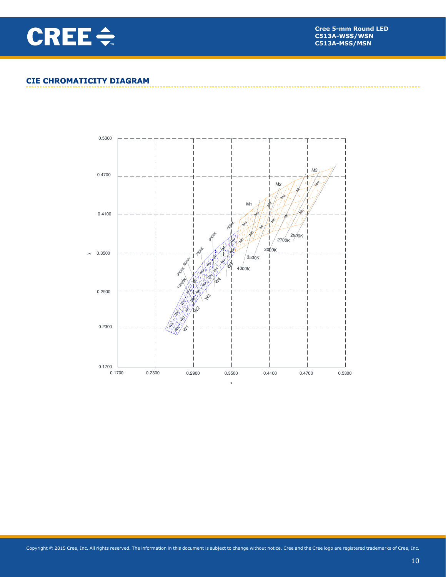

### **CIE CHROMATICITY DIAGRAM**

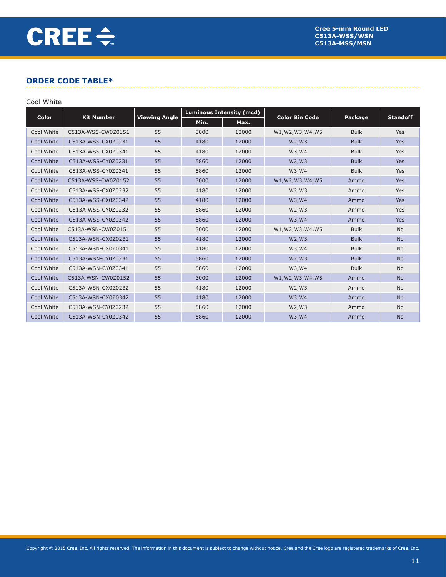### **ORDER CODE TABLE\***

#### Cool White

| <b>Color</b> | <b>Kit Number</b>  | <b>Viewing Angle</b> | <b>Luminous Intensity (mcd)</b> |       |                       |             |                 |
|--------------|--------------------|----------------------|---------------------------------|-------|-----------------------|-------------|-----------------|
|              |                    |                      | Min.                            | Max.  | <b>Color Bin Code</b> | Package     | <b>Standoff</b> |
| Cool White   | C513A-WSS-CW0Z0151 | 55                   | 3000                            | 12000 | W1, W2, W3, W4, W5    | <b>Bulk</b> | Yes             |
| Cool White   | C513A-WSS-CX0Z0231 | 55                   | 4180                            | 12000 | W2, W3                | <b>Bulk</b> | <b>Yes</b>      |
| Cool White   | C513A-WSS-CX0Z0341 | 55                   | 4180                            | 12000 | W3, W4                | <b>Bulk</b> | Yes             |
| Cool White   | C513A-WSS-CY0Z0231 | 55                   | 5860                            | 12000 | W2, W3                | <b>Bulk</b> | <b>Yes</b>      |
| Cool White   | C513A-WSS-CY0Z0341 | 55                   | 5860                            | 12000 | W3, W4                | <b>Bulk</b> | Yes             |
| Cool White   | C513A-WSS-CW0Z0152 | 55                   | 3000                            | 12000 | W1, W2, W3, W4, W5    | Ammo        | <b>Yes</b>      |
| Cool White   | C513A-WSS-CX0Z0232 | 55                   | 4180                            | 12000 | W2, W3                | Ammo        | Yes             |
| Cool White   | C513A-WSS-CX0Z0342 | 55                   | 4180                            | 12000 | W3, W4                | Ammo        | <b>Yes</b>      |
| Cool White   | C513A-WSS-CY0Z0232 | 55                   | 5860                            | 12000 | W2, W3                | Ammo        | Yes             |
| Cool White   | C513A-WSS-CY0Z0342 | 55                   | 5860                            | 12000 | W3, W4                | Ammo        | <b>Yes</b>      |
| Cool White   | C513A-WSN-CW0Z0151 | 55                   | 3000                            | 12000 | W1, W2, W3, W4, W5    | <b>Bulk</b> | <b>No</b>       |
| Cool White   | C513A-WSN-CX0Z0231 | 55                   | 4180                            | 12000 | W2, W3                | <b>Bulk</b> | <b>No</b>       |
| Cool White   | C513A-WSN-CX0Z0341 | 55                   | 4180                            | 12000 | W3, W4                | <b>Bulk</b> | <b>No</b>       |
| Cool White   | C513A-WSN-CY0Z0231 | 55                   | 5860                            | 12000 | W2, W3                | <b>Bulk</b> | <b>No</b>       |
| Cool White   | C513A-WSN-CY0Z0341 | 55                   | 5860                            | 12000 | W3, W4                | <b>Bulk</b> | <b>No</b>       |
| Cool White   | C513A-WSN-CW0Z0152 | 55                   | 3000                            | 12000 | W1, W2, W3, W4, W5    | Ammo        | <b>No</b>       |
| Cool White   | C513A-WSN-CX0Z0232 | 55                   | 4180                            | 12000 | W2, W3                | Ammo        | <b>No</b>       |
| Cool White   | C513A-WSN-CX0Z0342 | 55                   | 4180                            | 12000 | W3, W4                | Ammo        | <b>No</b>       |
| Cool White   | C513A-WSN-CY0Z0232 | 55                   | 5860                            | 12000 | W2, W3                | Ammo        | <b>No</b>       |
| Cool White   | C513A-WSN-CY0Z0342 | 55                   | 5860                            | 12000 | W3, W4                | Ammo        | <b>No</b>       |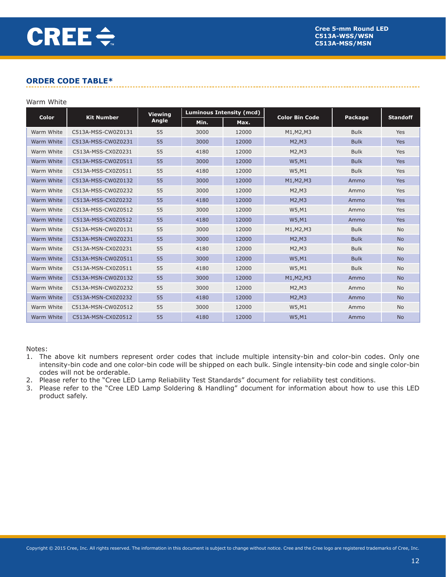### **ORDER CODE TABLE\***

#### Warm White

| Color      | <b>Kit Number</b>  | <b>Viewing</b><br>Angle | <b>Luminous Intensity (mcd)</b> |       | <b>Color Bin Code</b> |             |                 |
|------------|--------------------|-------------------------|---------------------------------|-------|-----------------------|-------------|-----------------|
|            |                    |                         | Min.                            | Max.  |                       | Package     | <b>Standoff</b> |
| Warm White | C513A-MSS-CW0Z0131 | 55                      | 3000                            | 12000 | M1, M2, M3            | <b>Bulk</b> | Yes             |
| Warm White | C513A-MSS-CW0Z0231 | 55                      | 3000                            | 12000 | M2, M3                | <b>Bulk</b> | <b>Yes</b>      |
| Warm White | C513A-MSS-CX0Z0231 | 55                      | 4180                            | 12000 | M2,M3                 | <b>Bulk</b> | Yes             |
| Warm White | C513A-MSS-CW0Z0511 | 55                      | 3000                            | 12000 | W5, M1                | <b>Bulk</b> | Yes             |
| Warm White | C513A-MSS-CX0Z0511 | 55                      | 4180                            | 12000 | W5,M1                 | <b>Bulk</b> | Yes             |
| Warm White | C513A-MSS-CW0Z0132 | 55                      | 3000                            | 12000 | M1, M2, M3            | Ammo        | <b>Yes</b>      |
| Warm White | C513A-MSS-CW0Z0232 | 55                      | 3000                            | 12000 | M2, M3                | Ammo        | Yes             |
| Warm White | C513A-MSS-CX0Z0232 | 55                      | 4180                            | 12000 | M2, M3                | Ammo        | <b>Yes</b>      |
| Warm White | C513A-MSS-CW0Z0512 | 55                      | 3000                            | 12000 | W5,M1                 | Ammo        | Yes             |
| Warm White | C513A-MSS-CX0Z0512 | 55                      | 4180                            | 12000 | W5, M1                | Ammo        | Yes             |
| Warm White | C513A-MSN-CW0Z0131 | 55                      | 3000                            | 12000 | M1, M2, M3            | <b>Bulk</b> | <b>No</b>       |
| Warm White | C513A-MSN-CW0Z0231 | 55                      | 3000                            | 12000 | M2, M3                | <b>Bulk</b> | <b>No</b>       |
| Warm White | C513A-MSN-CX0Z0231 | 55                      | 4180                            | 12000 | M2, M3                | <b>Bulk</b> | <b>No</b>       |
| Warm White | C513A-MSN-CW0Z0511 | 55                      | 3000                            | 12000 | W5, M1                | <b>Bulk</b> | <b>No</b>       |
| Warm White | C513A-MSN-CX0Z0511 | 55                      | 4180                            | 12000 | W5,M1                 | <b>Bulk</b> | <b>No</b>       |
| Warm White | C513A-MSN-CW0Z0132 | 55                      | 3000                            | 12000 | M1, M2, M3            | Ammo        | <b>No</b>       |
| Warm White | C513A-MSN-CW0Z0232 | 55                      | 3000                            | 12000 | M2, M3                | Ammo        | <b>No</b>       |
| Warm White | C513A-MSN-CX0Z0232 | 55                      | 4180                            | 12000 | M2, M3                | Ammo        | <b>No</b>       |
| Warm White | C513A-MSN-CW0Z0512 | 55                      | 3000                            | 12000 | W5,M1                 | Ammo        | <b>No</b>       |
| Warm White | C513A-MSN-CX0Z0512 | 55                      | 4180                            | 12000 | W5,M1                 | Ammo        | <b>No</b>       |

Notes:

- 1. The above kit numbers represent order codes that include multiple intensity-bin and color-bin codes. Only one intensity-bin code and one color-bin code will be shipped on each bulk. Single intensity-bin code and single color-bin codes will not be orderable.
- 2. Please refer to the "Cree LED Lamp Reliability Test Standards" document for reliability test conditions.
- 3. Please refer to the "Cree LED Lamp Soldering & Handling" document for information about how to use this LED product safely.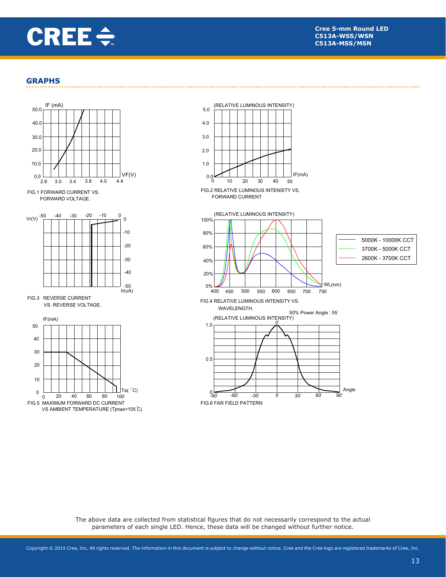

#### **GRAPHS**



FORWARD VOLTAGE. FIG.1 FORWARD CURRENT VS



VS. REVERSE VOLTAGE.



FIG.6 FAR FIELD PATTERN -90" -60" -30" 0" <u>0</u>  $^{0}$  $0.5$  $1.0$ 30° 60° 90 55 : 50% Power Angle<br>(RELATIVE LUMINOUS INTENSITY) FIG.4 RELATIVE LUMINOUS INTENSITY VS. WAVELENGTH. Angle FIG.2 RELATIVE LUMINOUS INTENSITY VS. FORWARD CURRENT  $0.0$  10 20 30 40 50  $1.0$  $4.0$  $20$  $3.0$  $5.0$ 0 10 20 30 40 50  $WL(nm)$ 80% 20%  $40%$ 60%  $0\%$   $\frac{1}{400}$ 100% 400 450 500 550 600 650 700 (RELATIVE LUMINOUS INTENSITY) 750 5000K - 10000K CCT 3700K - 5000K CCT 2600K - 3700K CCT

(RELATIVE LUMINOUS INTENSITY)

The above data are collected from statistical figures that do not necessarily correspond to the actual parameters of each single LED. Hence, these data will be changed without further notice.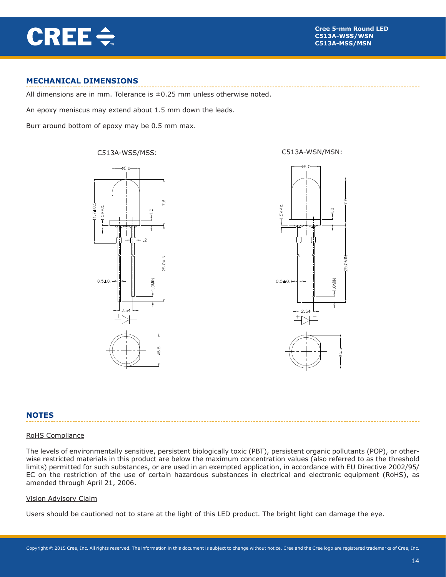**CREE ÷** 

### **MECHANICAL DIMENSIONS**

All dimensions are in mm. Tolerance is  $\pm 0.25$  mm unless otherwise noted.

An epoxy meniscus may extend about 1.5 mm down the leads.

Burr around bottom of epoxy may be 0.5 mm max.

C513A-WSS/MSS: C513A-WSN/MSN:





#### **NOTES**

#### RoHS Compliance

The levels of environmentally sensitive, persistent biologically toxic (PBT), persistent organic pollutants (POP), or otherwise restricted materials in this product are below the maximum concentration values (also referred to as the threshold limits) permitted for such substances, or are used in an exempted application, in accordance with EU Directive 2002/95/ EC on the restriction of the use of certain hazardous substances in electrical and electronic equipment (RoHS), as amended through April 21, 2006.

#### Vision Advisory Claim

Users should be cautioned not to stare at the light of this LED product. The bright light can damage the eye.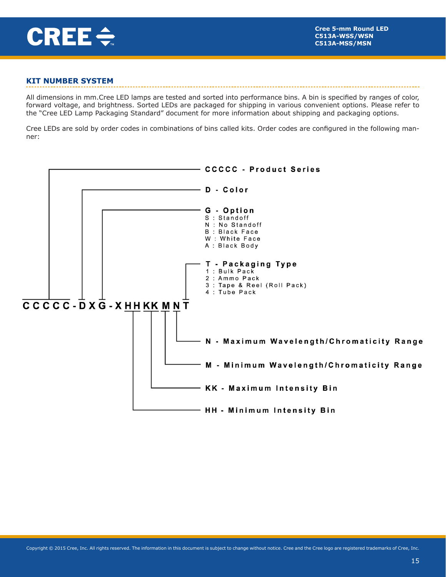

### **KIT NUMBER SYSTEM**

All dimensions in mm.Cree LED lamps are tested and sorted into performance bins. A bin is specified by ranges of color, forward voltage, and brightness. Sorted LEDs are packaged for shipping in various convenient options. Please refer to the "Cree LED Lamp Packaging Standard" document for more information about shipping and packaging options.

Cree LEDs are sold by order codes in combinations of bins called kits. Order codes are configured in the following manner: